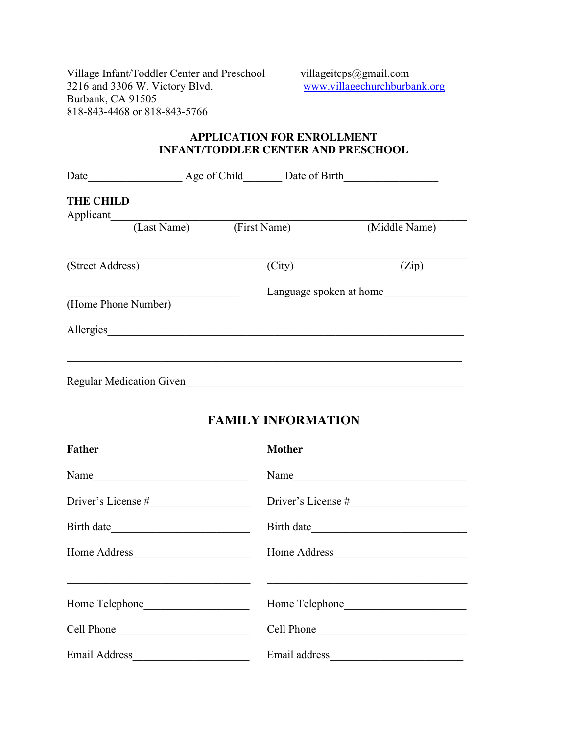Village Infant/Toddler Center and Preschool villageitcps@gmail.com<br>3216 and 3306 W. Victory Blvd. www.villagechurchburba Burbank, CA 91505 818-843-4468 or 818-843-5766

www.villagechurchburbank.org

## **APPLICATION FOR ENROLLMENT INFANT/TODDLER CENTER AND PRESCHOOL**

| Date                            | Age of Child<br>Date of Birth |                         |               |
|---------------------------------|-------------------------------|-------------------------|---------------|
| <b>THE CHILD</b><br>Applicant   |                               |                         |               |
|                                 | (Last Name)                   | (First Name)            | (Middle Name) |
| (Street Address)                |                               | (City)                  | (Zip)         |
| (Home Phone Number)             |                               | Language spoken at home |               |
| Allergies                       |                               |                         |               |
| <b>Regular Medication Given</b> |                               |                         |               |

## **FAMILY INFORMATION**

| <b>Father</b>  | <b>Mother</b>  |
|----------------|----------------|
|                |                |
|                |                |
|                | Birth date     |
|                | Home Address   |
|                |                |
| Home Telephone | Home Telephone |
|                | Cell Phone     |
|                |                |
|                |                |